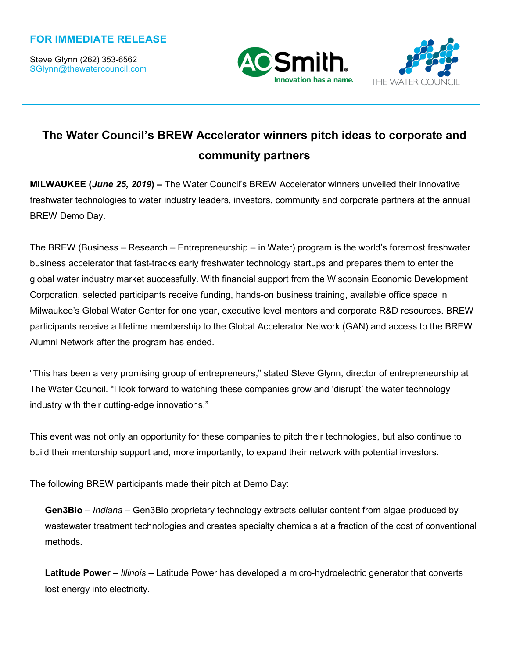Steve Glynn (262) 353-6562 SGlynn@thewatercouncil.com





# **The Water Council's BREW Accelerator winners pitch ideas to corporate and community partners**

**MILWAUKEE (***June 25, 2019***) –** The Water Council's BREW Accelerator winners unveiled their innovative freshwater technologies to water industry leaders, investors, community and corporate partners at the annual BREW Demo Day.

The BREW (Business – Research – Entrepreneurship – in Water) program is the world's foremost freshwater business accelerator that fast-tracks early freshwater technology startups and prepares them to enter the global water industry market successfully. With financial support from the Wisconsin Economic Development Corporation, selected participants receive funding, hands-on business training, available office space in Milwaukee's Global Water Center for one year, executive level mentors and corporate R&D resources. BREW participants receive a lifetime membership to the Global Accelerator Network (GAN) and access to the BREW Alumni Network after the program has ended.

"This has been a very promising group of entrepreneurs," stated Steve Glynn, director of entrepreneurship at The Water Council. "I look forward to watching these companies grow and 'disrupt' the water technology industry with their cutting-edge innovations."

This event was not only an opportunity for these companies to pitch their technologies, but also continue to build their mentorship support and, more importantly, to expand their network with potential investors.

The following BREW participants made their pitch at Demo Day:

**Gen3Bio** – *Indiana* – Gen3Bio proprietary technology extracts cellular content from algae produced by wastewater treatment technologies and creates specialty chemicals at a fraction of the cost of conventional methods.

**Latitude Power** – *Illinois* – Latitude Power has developed a micro-hydroelectric generator that converts lost energy into electricity.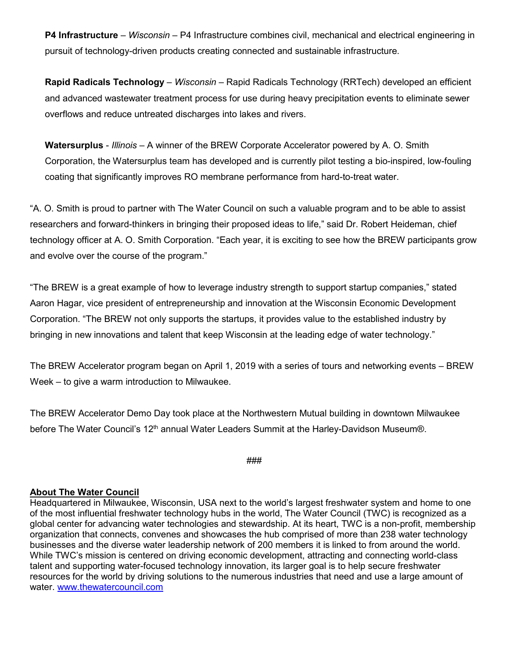**P4 Infrastructure** – *Wisconsin* – P4 Infrastructure combines civil, mechanical and electrical engineering in pursuit of technology-driven products creating connected and sustainable infrastructure.

**Rapid Radicals Technology** – *Wisconsin* – Rapid Radicals Technology (RRTech) developed an efficient and advanced wastewater treatment process for use during heavy precipitation events to eliminate sewer overflows and reduce untreated discharges into lakes and rivers.

**Watersurplus** - *Illinois* – A winner of the BREW Corporate Accelerator powered by A. O. Smith Corporation, the Watersurplus team has developed and is currently pilot testing a bio-inspired, low-fouling coating that significantly improves RO membrane performance from hard-to-treat water.

"A. O. Smith is proud to partner with The Water Council on such a valuable program and to be able to assist researchers and forward-thinkers in bringing their proposed ideas to life," said Dr. Robert Heideman, chief technology officer at A. O. Smith Corporation. "Each year, it is exciting to see how the BREW participants grow and evolve over the course of the program."

"The BREW is a great example of how to leverage industry strength to support startup companies," stated Aaron Hagar, vice president of entrepreneurship and innovation at the Wisconsin Economic Development Corporation. "The BREW not only supports the startups, it provides value to the established industry by bringing in new innovations and talent that keep Wisconsin at the leading edge of water technology."

The BREW Accelerator program began on April 1, 2019 with a series of tours and networking events – BREW Week – to give a warm introduction to Milwaukee.

The BREW Accelerator Demo Day took place at the Northwestern Mutual building in downtown Milwaukee before The Water Council's 12<sup>th</sup> annual Water Leaders Summit at the Harley-Davidson Museum®.

###

#### **About The Water Council**

Headquartered in Milwaukee, Wisconsin, USA next to the world's largest freshwater system and home to one of the most influential freshwater technology hubs in the world, The Water Council (TWC) is recognized as a global center for advancing water technologies and stewardship. At its heart, TWC is a non-profit, membership organization that connects, convenes and showcases the hub comprised of more than 238 water technology businesses and the diverse water leadership network of 200 members it is linked to from around the world. While TWC's mission is centered on driving economic development, attracting and connecting world-class talent and supporting water-focused technology innovation, its larger goal is to help secure freshwater resources for the world by driving solutions to the numerous industries that need and use a large amount of water. [www.thewatercouncil.com](http://www.thewatercouncil.com/)